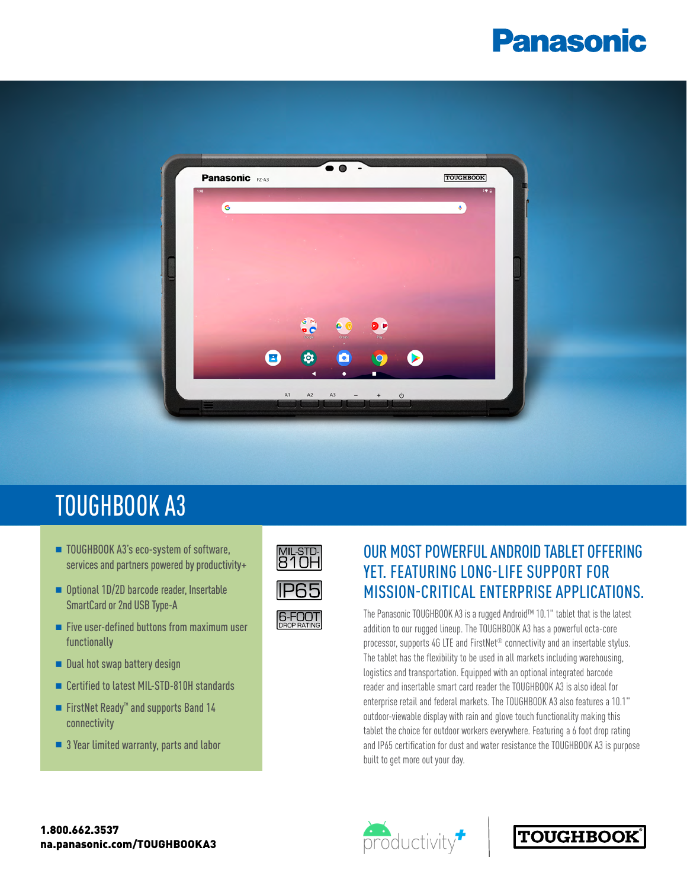# **Panasonic**



# TOUGHBOOK A3

- TOUGHBOOK A3's eco-system of software, services and partners powered by productivity+
- Optional 1D/2D barcode reader, Insertable SmartCard or 2nd USB Type-A
- $\blacksquare$  Five user-defined buttons from maximum user functionally
- $\blacksquare$  Dual hot swap battery design
- Certified to latest MIL-STD-810H standards
- FirstNet Ready<sup>™</sup> and supports Band 14 connectivity
- $\blacksquare$  3 Year limited warranty, parts and labor



### OUR MOST POWERFUL ANDROID TABLET OFFERING YET. FEATURING LONG-LIFE SUPPORT FOR MISSION-CRITICAL ENTERPRISE APPLICATIONS.

The Panasonic TOUGHBOOK A3 is a rugged Android™ 10.1" tablet that is the latest addition to our rugged lineup. The TOUGHBOOK A3 has a powerful octa-core processor, supports 4G LTE and FirstNet® connectivity and an insertable stylus. The tablet has the flexibility to be used in all markets including warehousing, logistics and transportation. Equipped with an optional integrated barcode reader and insertable smart card reader the TOUGHBOOK A3 is also ideal for enterprise retail and federal markets. The TOUGHBOOK A3 also features a 10.1" outdoor-viewable display with rain and glove touch functionality making this tablet the choice for outdoor workers everywhere. Featuring a 6 foot drop rating and IP65 certification for dust and water resistance the TOUGHBOOK A3 is purpose built to get more out your day.